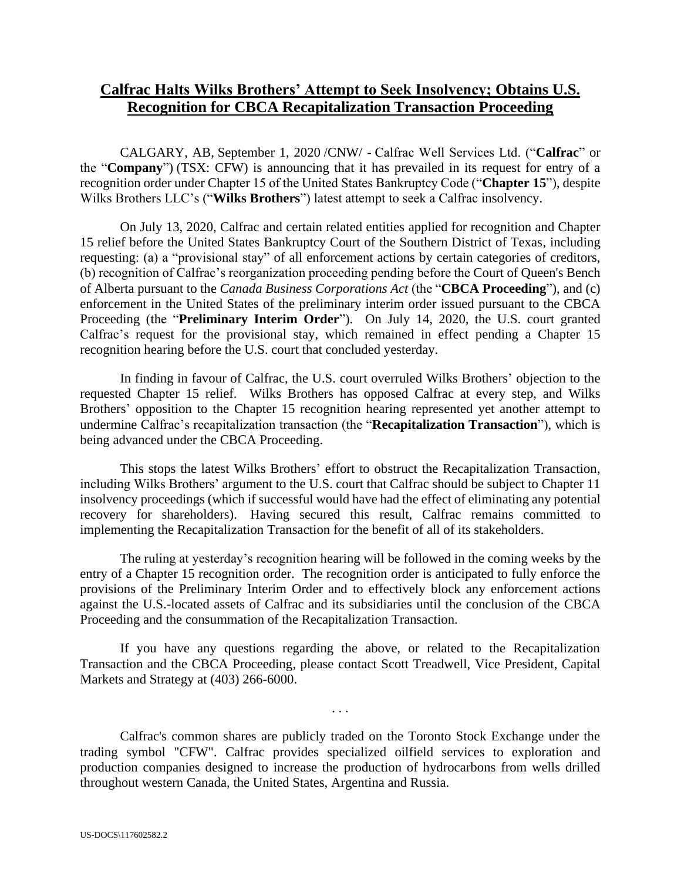## **Calfrac Halts Wilks Brothers' Attempt to Seek Insolvency; Obtains U.S. Recognition for CBCA Recapitalization Transaction Proceeding**

CALGARY, AB, September 1, 2020 /CNW/ - Calfrac Well Services Ltd. ("**Calfrac**" or the "**Company**") (TSX: CFW) is announcing that it has prevailed in its request for entry of a recognition order under Chapter 15 of the United States Bankruptcy Code ("**Chapter 15**"), despite Wilks Brothers LLC's ("**Wilks Brothers**") latest attempt to seek a Calfrac insolvency.

On July 13, 2020, Calfrac and certain related entities applied for recognition and Chapter 15 relief before the United States Bankruptcy Court of the Southern District of Texas, including requesting: (a) a "provisional stay" of all enforcement actions by certain categories of creditors, (b) recognition of Calfrac's reorganization proceeding pending before the Court of Queen's Bench of Alberta pursuant to the *Canada Business Corporations Act* (the "**CBCA Proceeding**"), and (c) enforcement in the United States of the preliminary interim order issued pursuant to the CBCA Proceeding (the "**Preliminary Interim Order**"). On July 14, 2020, the U.S. court granted Calfrac's request for the provisional stay, which remained in effect pending a Chapter 15 recognition hearing before the U.S. court that concluded yesterday.

In finding in favour of Calfrac, the U.S. court overruled Wilks Brothers' objection to the requested Chapter 15 relief. Wilks Brothers has opposed Calfrac at every step, and Wilks Brothers' opposition to the Chapter 15 recognition hearing represented yet another attempt to undermine Calfrac's recapitalization transaction (the "**Recapitalization Transaction**"), which is being advanced under the CBCA Proceeding.

This stops the latest Wilks Brothers' effort to obstruct the Recapitalization Transaction, including Wilks Brothers' argument to the U.S. court that Calfrac should be subject to Chapter 11 insolvency proceedings (which if successful would have had the effect of eliminating any potential recovery for shareholders). Having secured this result, Calfrac remains committed to implementing the Recapitalization Transaction for the benefit of all of its stakeholders.

The ruling at yesterday's recognition hearing will be followed in the coming weeks by the entry of a Chapter 15 recognition order. The recognition order is anticipated to fully enforce the provisions of the Preliminary Interim Order and to effectively block any enforcement actions against the U.S.-located assets of Calfrac and its subsidiaries until the conclusion of the CBCA Proceeding and the consummation of the Recapitalization Transaction.

If you have any questions regarding the above, or related to the Recapitalization Transaction and the CBCA Proceeding, please contact Scott Treadwell, Vice President, Capital Markets and Strategy at (403) 266-6000.

. . .

Calfrac's common shares are publicly traded on the Toronto Stock Exchange under the trading symbol "CFW". Calfrac provides specialized oilfield services to exploration and production companies designed to increase the production of hydrocarbons from wells drilled throughout western Canada, the United States, Argentina and Russia.